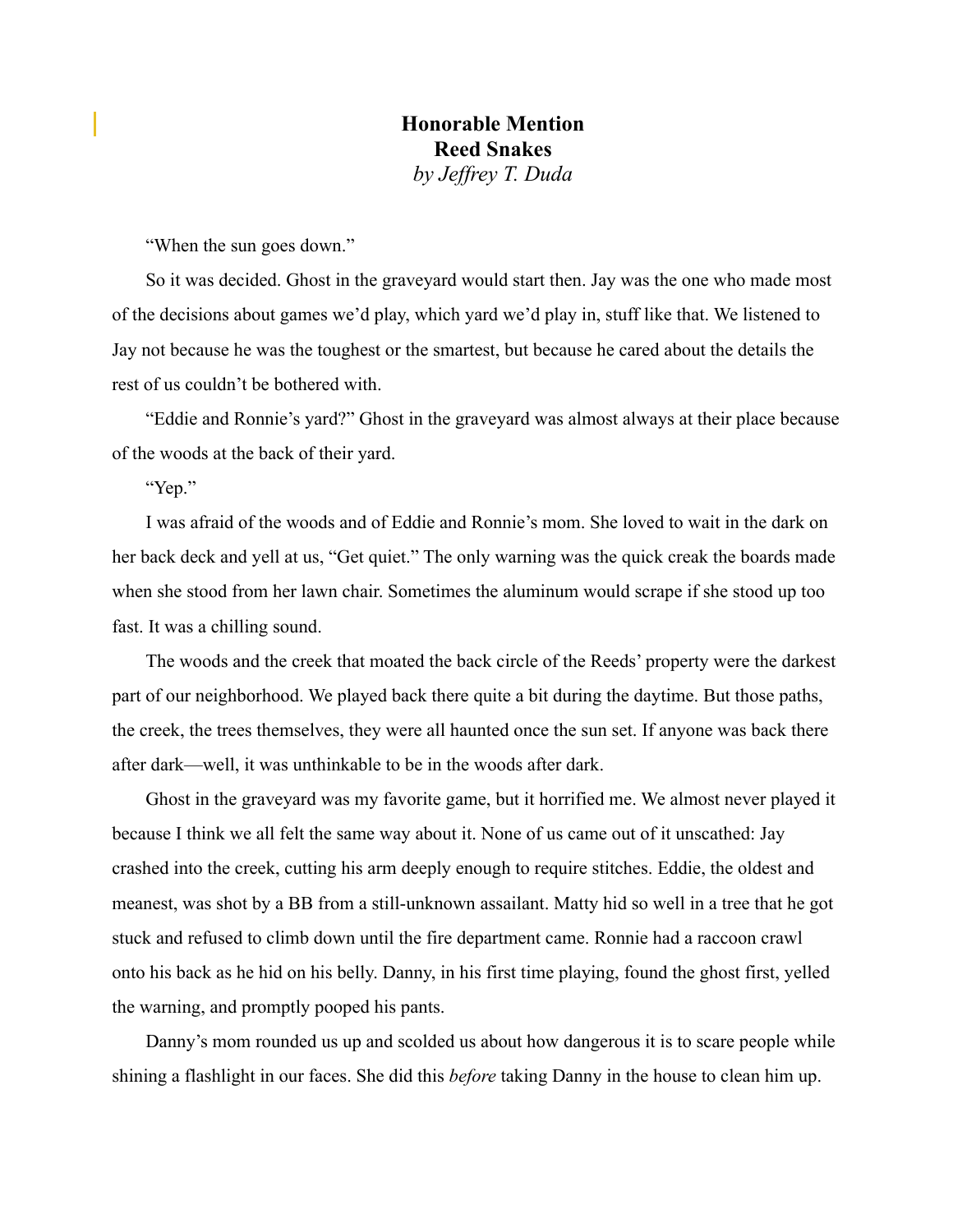"When the sun goes down."

So it was decided. Ghost in the graveyard would start then. Jay was the one who made most of the decisions about games we'd play, which yard we'd play in, stuff like that. We listened to Jay not because he was the toughest or the smartest, but because he cared about the details the rest of us couldn't be bothered with.

"Eddie and Ronnie's yard?" Ghost in the graveyard was almost always at their place because of the woods at the back of their yard.

"Yep."

I was afraid of the woods and of Eddie and Ronnie's mom. She loved to wait in the dark on her back deck and yell at us, "Get quiet." The only warning was the quick creak the boards made when she stood from her lawn chair. Sometimes the aluminum would scrape if she stood up too fast. It was a chilling sound.

The woods and the creek that moated the back circle of the Reeds' property were the darkest part of our neighborhood. We played back there quite a bit during the daytime. But those paths, the creek, the trees themselves, they were all haunted once the sun set. If anyone was back there after dark—well, it was unthinkable to be in the woods after dark.

Ghost in the graveyard was my favorite game, but it horrified me. We almost never played it because I think we all felt the same way about it. None of us came out of it unscathed: Jay crashed into the creek, cutting his arm deeply enough to require stitches. Eddie, the oldest and meanest, was shot by a BB from a still-unknown assailant. Matty hid so well in a tree that he got stuck and refused to climb down until the fire department came. Ronnie had a raccoon crawl onto his back as he hid on his belly. Danny, in his first time playing, found the ghost first, yelled the warning, and promptly pooped his pants.

Danny's mom rounded us up and scolded us about how dangerous it is to scare people while shining a flashlight in our faces. She did this *before* taking Danny in the house to clean him up.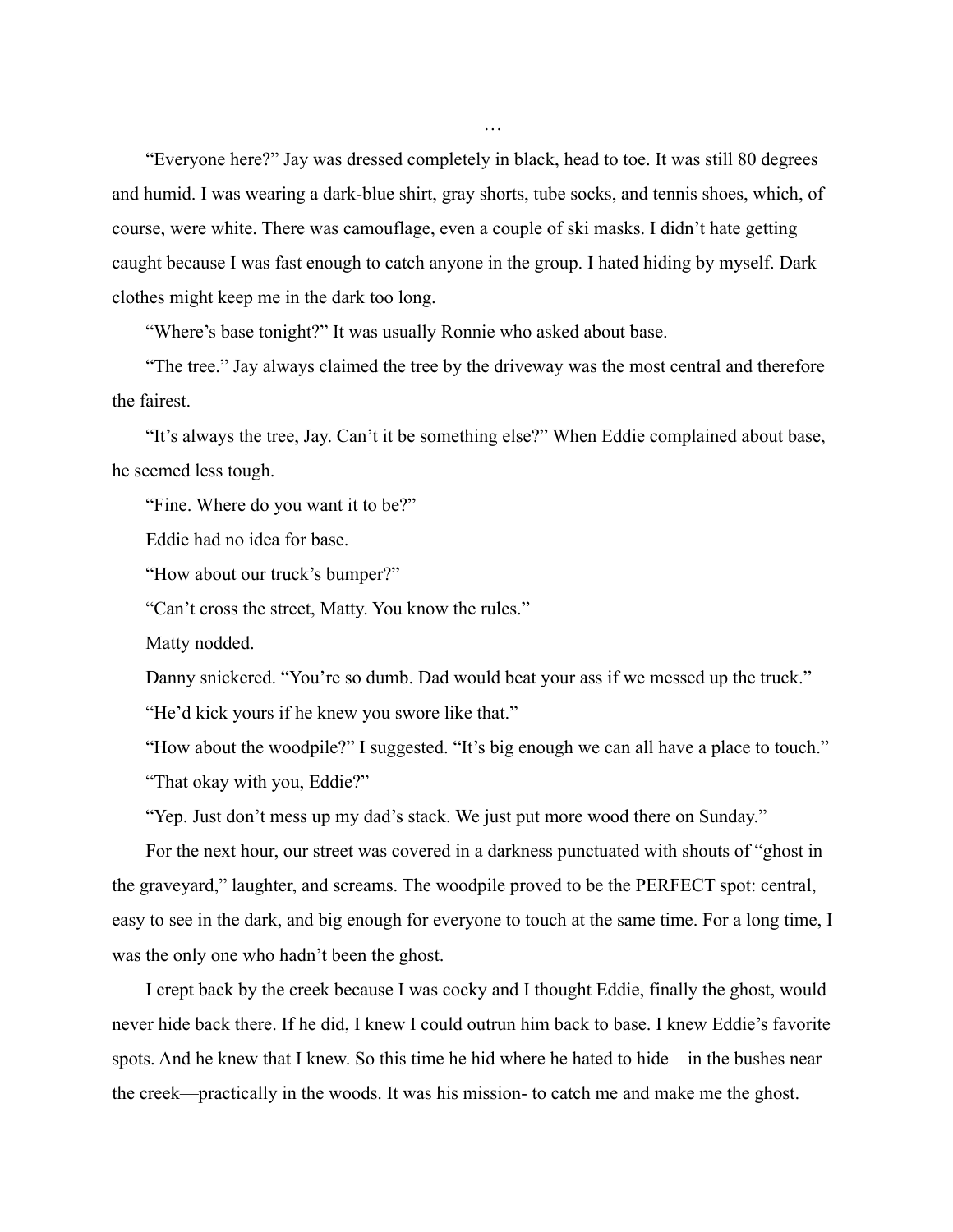"Everyone here?" Jay was dressed completely in black, head to toe. It was still 80 degrees and humid. I was wearing a dark-blue shirt, gray shorts, tube socks, and tennis shoes, which, of course, were white. There was camouflage, even a couple of ski masks. I didn't hate getting caught because I was fast enough to catch anyone in the group. I hated hiding by myself. Dark clothes might keep me in the dark too long.

"Where's base tonight?" It was usually Ronnie who asked about base.

"The tree." Jay always claimed the tree by the driveway was the most central and therefore the fairest.

"It's always the tree, Jay. Can't it be something else?" When Eddie complained about base, he seemed less tough.

"Fine. Where do you want it to be?"

Eddie had no idea for base.

"How about our truck's bumper?"

"Can't cross the street, Matty. You know the rules."

Matty nodded.

Danny snickered. "You're so dumb. Dad would beat your ass if we messed up the truck."

"He'd kick yours if he knew you swore like that."

"How about the woodpile?" I suggested. "It's big enough we can all have a place to touch." "That okay with you, Eddie?"

"Yep. Just don't mess up my dad's stack. We just put more wood there on Sunday."

For the next hour, our street was covered in a darkness punctuated with shouts of "ghost in the graveyard," laughter, and screams. The woodpile proved to be the PERFECT spot: central, easy to see in the dark, and big enough for everyone to touch at the same time. For a long time, I was the only one who hadn't been the ghost.

I crept back by the creek because I was cocky and I thought Eddie, finally the ghost, would never hide back there. If he did, I knew I could outrun him back to base. I knew Eddie's favorite spots. And he knew that I knew. So this time he hid where he hated to hide—in the bushes near the creek—practically in the woods. It was his mission- to catch me and make me the ghost.

…